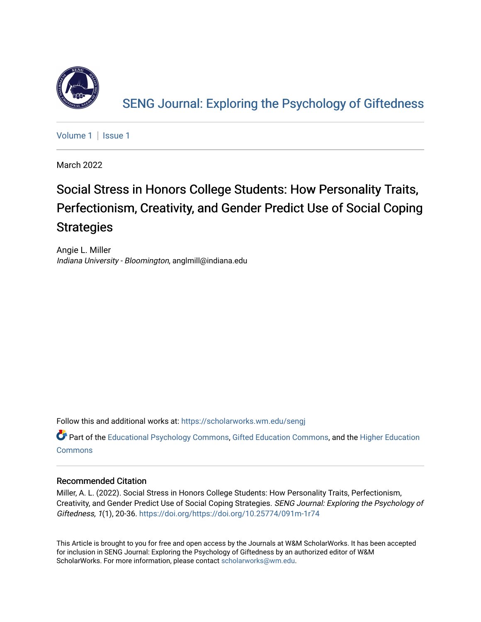

[SENG Journal: Exploring the Psychology of Giftedness](https://scholarworks.wm.edu/sengj) 

[Volume 1](https://scholarworks.wm.edu/sengj/vol1) | Issue 1

March 2022

# Social Stress in Honors College Students: How Personality Traits, Perfectionism, Creativity, and Gender Predict Use of Social Coping **Strategies**

Angie L. Miller Indiana University - Bloomington, anglmill@indiana.edu

Follow this and additional works at: [https://scholarworks.wm.edu/sengj](https://scholarworks.wm.edu/sengj?utm_source=scholarworks.wm.edu%2Fsengj%2Fvol1%2Fiss1%2F5&utm_medium=PDF&utm_campaign=PDFCoverPages)

Part of the [Educational Psychology Commons,](http://network.bepress.com/hgg/discipline/798?utm_source=scholarworks.wm.edu%2Fsengj%2Fvol1%2Fiss1%2F5&utm_medium=PDF&utm_campaign=PDFCoverPages) [Gifted Education Commons](http://network.bepress.com/hgg/discipline/1048?utm_source=scholarworks.wm.edu%2Fsengj%2Fvol1%2Fiss1%2F5&utm_medium=PDF&utm_campaign=PDFCoverPages), and the [Higher Education](http://network.bepress.com/hgg/discipline/1245?utm_source=scholarworks.wm.edu%2Fsengj%2Fvol1%2Fiss1%2F5&utm_medium=PDF&utm_campaign=PDFCoverPages)  **[Commons](http://network.bepress.com/hgg/discipline/1245?utm_source=scholarworks.wm.edu%2Fsengj%2Fvol1%2Fiss1%2F5&utm_medium=PDF&utm_campaign=PDFCoverPages)** 

#### Recommended Citation

Miller, A. L. (2022). Social Stress in Honors College Students: How Personality Traits, Perfectionism, Creativity, and Gender Predict Use of Social Coping Strategies. SENG Journal: Exploring the Psychology of Giftedness, 1(1), 20-36.<https://doi.org/https://doi.org/10.25774/091m-1r74>

This Article is brought to you for free and open access by the Journals at W&M ScholarWorks. It has been accepted for inclusion in SENG Journal: Exploring the Psychology of Giftedness by an authorized editor of W&M ScholarWorks. For more information, please contact [scholarworks@wm.edu.](mailto:scholarworks@wm.edu)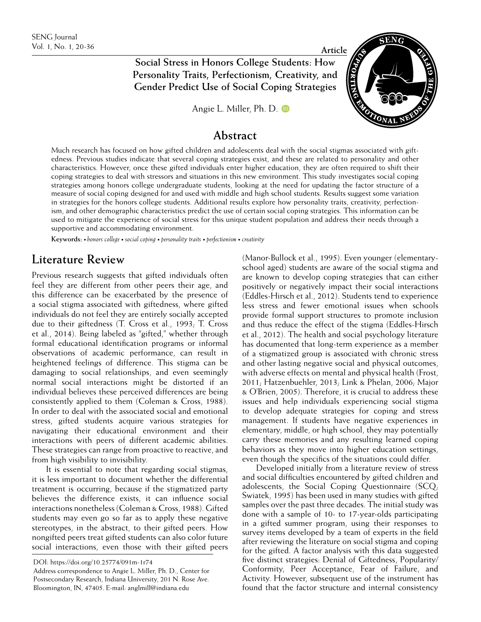**Social Stress in Honors College Students: How <b>Article P Personality Traits, Perfectionism, Creativity, and Gender Predict Use of Social Coping Strategies** 

[Angie L. Miller, Ph. D.](https://orcid.org/0000-0002-5828-235X)



## **Abstract**

Much research has focused on how gifted children and adolescents deal with the social stigmas associated with giftedness. Previous studies indicate that several coping strategies exist, and these are related to personality and other characteristics. However, once these gifted individuals enter higher education, they are often required to shift their coping strategies to deal with stressors and situations in this new environment. This study investigates social coping strategies among honors college undergraduate students, looking at the need for updating the factor structure of a measure of social coping designed for and used with middle and high school students. Results suggest some variation in strategies for the honors college students. Additional results explore how personality traits, creativity, perfectionism, and other demographic characteristics predict the use of certain social coping strategies. This information can be used to mitigate the experience of social stress for this unique student population and address their needs through a supportive and accommodating environment.

**Keywords:** *• honors college • social coping • personality traits • perfectionism • creativity*

## **Literature Review**

Previous research suggests that gifted individuals often feel they are different from other peers their age, and this difference can be exacerbated by the presence of a social stigma associated with giftedness, where gifted individuals do not feel they are entirely socially accepted due to their giftedness (T. Cross et al., 1993; T. Cross et al., 2014). Being labeled as "gifted," whether through formal educational identification programs or informal observations of academic performance, can result in heightened feelings of difference. This stigma can be damaging to social relationships, and even seemingly normal social interactions might be distorted if an individual believes these perceived differences are being consistently applied to them (Coleman & Cross, 1988). In order to deal with the associated social and emotional stress, gifted students acquire various strategies for navigating their educational environment and their interactions with peers of different academic abilities. These strategies can range from proactive to reactive, and from high visibility to invisibility.

It is essential to note that regarding social stigmas, it is less important to document whether the differential treatment is occurring, because if the stigmatized party believes the difference exists, it can influence social interactions nonetheless (Coleman & Cross, 1988). Gifted students may even go so far as to apply these negative stereotypes, in the abstract, to their gifted peers. How nongifted peers treat gifted students can also color future social interactions, even those with their gifted peers (Manor-Bullock et al., 1995). Even younger (elementaryschool aged) students are aware of the social stigma and are known to develop coping strategies that can either positively or negatively impact their social interactions (Eddles-Hirsch et al., 2012). Students tend to experience less stress and fewer emotional issues when schools provide formal support structures to promote inclusion and thus reduce the effect of the stigma (Eddles-Hirsch et al., 2012). The health and social psychology literature has documented that long-term experience as a member of a stigmatized group is associated with chronic stress and other lasting negative social and physical outcomes, with adverse effects on mental and physical health (Frost, 2011; Hatzenbuehler, 2013; Link & Phelan, 2006; Major & O'Brien, 2005). Therefore, it is crucial to address these issues and help individuals experiencing social stigma to develop adequate strategies for coping and stress management. If students have negative experiences in elementary, middle, or high school, they may potentially carry these memories and any resulting learned coping behaviors as they move into higher education settings, even though the specifics of the situations could differ.

Developed initially from a literature review of stress and social difficulties encountered by gifted children and adolescents, the Social Coping Questionnaire  $(SCQ)$ Swiatek, 1995) has been used in many studies with gifted samples over the past three decades. The initial study was done with a sample of 10- to 17-year-olds participating in a gifted summer program, using their responses to survey items developed by a team of experts in the field after reviewing the literature on social stigma and coping for the gifted. A factor analysis with this data suggested five distinct strategies: Denial of Giftedness, Popularity/ Conformity, Peer Acceptance, Fear of Failure, and Activity. However, subsequent use of the instrument has found that the factor structure and internal consistency

DOI: https://doi.org/10.25774/091m-1r74

Address correspondence to Angie L. Miller, Ph. D., Center for Postsecondary Research, Indiana University, 201 N. Rose Ave. Bloomington, IN, 47405. E-mail: anglmill@indiana.edu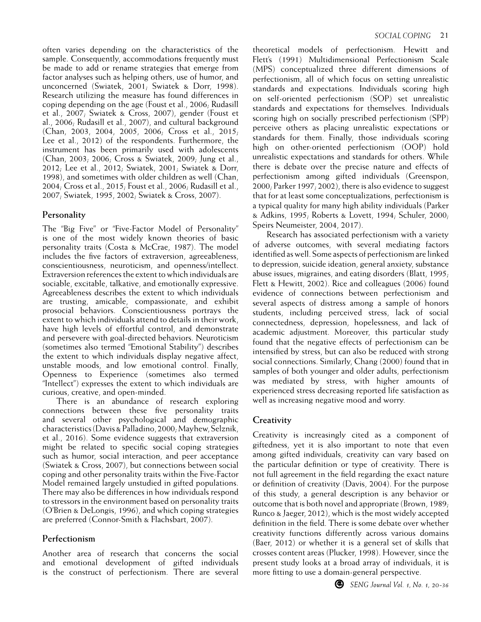often varies depending on the characteristics of the sample. Consequently, accommodations frequently must be made to add or rename strategies that emerge from factor analyses such as helping others, use of humor, and unconcerned (Swiatek, 2001; Swiatek & Dorr, 1998). Research utilizing the measure has found differences in coping depending on the age (Foust et al., 2006; Rudasill et al., 2007; Swiatek & Cross, 2007), gender (Foust et al., 2006; Rudasill et al., 2007), and cultural background (Chan, 2003, 2004, 2005, 2006; Cross et al., 2015; Lee et al., 2012) of the respondents. Furthermore, the instrument has been primarily used with adolescents (Chan, 2003; 2006; Cross & Swiatek, 2009; Jung et al., 2012; Lee et al., 2012; Swiatek, 2001; Swiatek & Dorr, 1998), and sometimes with older children as well (Chan, 2004; Cross et al., 2015; Foust et al., 2006; Rudasill et al., 2007; Swiatek, 1995, 2002; Swiatek & Cross, 2007).

### **Personality**

The "Big Five" or "Five-Factor Model of Personality" is one of the most widely known theories of basic personality traits (Costa & McCrae, 1987). The model includes the five factors of extraversion, agreeableness, conscientiousness, neuroticism, and openness/intellect. Extraversion references the extent to which individuals are sociable, excitable, talkative, and emotionally expressive. Agreeableness describes the extent to which individuals are trusting, amicable, compassionate, and exhibit prosocial behaviors. Conscientiousness portrays the extent to which individuals attend to details in their work, have high levels of effortful control, and demonstrate and persevere with goal-directed behaviors. Neuroticism (sometimes also termed "Emotional Stability") describes the extent to which individuals display negative affect, unstable moods, and low emotional control. Finally, Openness to Experience (sometimes also termed "Intellect") expresses the extent to which individuals are curious, creative, and open-minded.

There is an abundance of research exploring connections between these five personality traits and several other psychological and demographic characteristics (Davis & Palladino, 2000; Mayhew, Selznik, et al., 2016). Some evidence suggests that extraversion might be related to specific social coping strategies such as humor, social interaction, and peer acceptance (Swiatek & Cross, 2007), but connections between social coping and other personality traits within the Five-Factor Model remained largely unstudied in gifted populations. There may also be differences in how individuals respond to stressors in the environment based on personality traits (O'Brien & DeLongis, 1996), and which coping strategies are preferred (Connor-Smith & Flachsbart, 2007).

### **Perfectionism**

Another area of research that concerns the social and emotional development of gifted individuals is the construct of perfectionism. There are several

theoretical models of perfectionism. Hewitt and Flett's (1991) Multidimensional Perfectionism Scale (MPS) conceptualized three different dimensions of perfectionism, all of which focus on setting unrealistic standards and expectations. Individuals scoring high on self-oriented perfectionism (SOP) set unrealistic standards and expectations for themselves. Individuals scoring high on socially prescribed perfectionism (SPP) perceive others as placing unrealistic expectations or standards for them. Finally, those individuals scoring high on other-oriented perfectionism (OOP) hold unrealistic expectations and standards for others. While there is debate over the precise nature and effects of perfectionism among gifted individuals (Greenspon, 2000; Parker 1997; 2002), there is also evidence to suggest that for at least some conceptualizations, perfectionism is a typical quality for many high ability individuals (Parker & Adkins, 1995; Roberts & Lovett, 1994; Schuler, 2000; Speirs Neumeister, 2004, 2017).

Research has associated perfectionism with a variety of adverse outcomes, with several mediating factors identified as well. Some aspects of perfectionism are linked to depression, suicide ideation, general anxiety, substance abuse issues, migraines, and eating disorders (Blatt, 1995; Flett & Hewitt, 2002). Rice and colleagues (2006) found evidence of connections between perfectionism and several aspects of distress among a sample of honors students, including perceived stress, lack of social connectedness, depression, hopelessness, and lack of academic adjustment. Moreover, this particular study found that the negative effects of perfectionism can be intensified by stress, but can also be reduced with strong social connections. Similarly, Chang (2000) found that in samples of both younger and older adults, perfectionism was mediated by stress, with higher amounts of experienced stress decreasing reported life satisfaction as well as increasing negative mood and worry.

### **Creativity**

Creativity is increasingly cited as a component of giftedness, yet it is also important to note that even among gifted individuals, creativity can vary based on the particular definition or type of creativity. There is not full agreement in the field regarding the exact nature or definition of creativity (Davis, 2004). For the purpose of this study, a general description is any behavior or outcome that is both novel and appropriate (Brown, 1989; Runco & Jaeger, 2012), which is the most widely accepted definition in the field. There is some debate over whether creativity functions differently across various domains (Baer, 2012) or whether it is a general set of skills that crosses content areas (Plucker, 1998). However, since the present study looks at a broad array of individuals, it is more fitting to use a domain-general perspective.

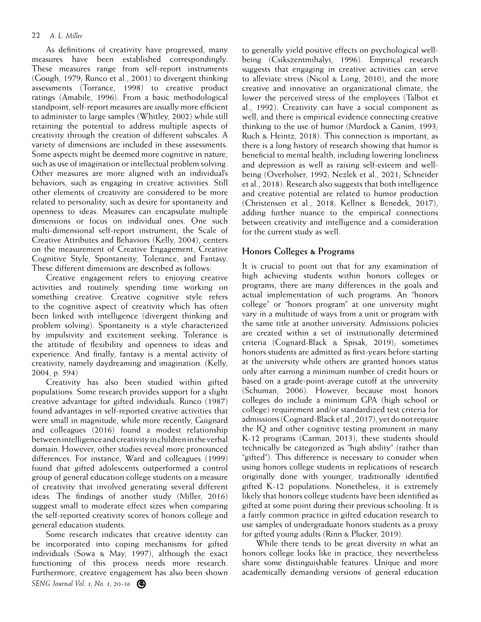As definitions of creativity have progressed, many measures have been established correspondingly. These measures range from self-report instruments (Gough, 1979; Runco et al., 2001) to divergent thinking assessments (Torrance, 1998) to creative product ratings (Amabile, 1996). From a basic methodological standpoint, self-report measures are usually more efficient to administer to large samples (Whitley, 2002) while still retaining the potential to address multiple aspects of creativity through the creation of different subscales. A variety of dimensions are included in these assessments. Some aspects might be deemed more cognitive in nature, such as use of imagination or intellectual problem solving. Other measures are more aligned with an individual's behaviors, such as engaging in creative activities. Still other elements of creativity are considered to be more related to personality, such as desire for spontaneity and openness to ideas. Measures can encapsulate multiple dimensions or focus on individual ones. One such multi-dimensional self-report instrument, the Scale of Creative Attributes and Behaviors (Kelly, 2004), centers on the measurement of Creative Engagement, Creative Cognitive Style, Spontaneity, Tolerance, and Fantasy. These different dimensions are described as follows:

Creative engagement refers to enjoying creative activities and routinely spending time working on something creative. Creative cognitive style refers to the cognitive aspect of creativity which has often been linked with intelligence (divergent thinking and problem solving). Spontaneity is a style characterized by impulsivity and excitement seeking. Tolerance is the attitude of flexibility and openness to ideas and experience. And finally, fantasy is a mental activity of creativity, namely daydreaming and imagination. (Kelly, 2004, p. 594)

Creativity has also been studied within gifted populations. Some research provides support for a slight creative advantage for gifted individuals. Runco (1987) found advantages in self-reported creative activities that were small in magnitude, while more recently, Guignard and colleagues (2016) found a modest relationship between intelligence and creativity in children in the verbal domain. However, other studies reveal more pronounced differences. For instance, Ward and colleagues (1999) found that gifted adolescents outperformed a control group of general education college students on a measure of creativity that involved generating several different ideas. The findings of another study (Miller, 2016) suggest small to moderate effect sizes when comparing the self-reported creativity scores of honors college and general education students.

*SENG Journal Vol. 1, No. 1, 20-36* Some research indicates that creative identity can be incorporated into coping mechanisms for gifted individuals (Sowa & May, 1997), although the exact functioning of this process needs more research. Furthermore, creative engagement has also been shown

to generally yield positive effects on psychological wellbeing (Csikszentmihalyi, 1996). Empirical research suggests that engaging in creative activities can serve to alleviate stress (Nicol & Long, 2010), and the more creative and innovative an organizational climate, the lower the perceived stress of the employees (Talbot et al., 1992). Creativity can have a social component as well, and there is empirical evidence connecting creative thinking to the use of humor (Murdock & Ganim, 1993; Ruch & Heintz, 2018). This connection is important, as there is a long history of research showing that humor is beneficial to mental health, including lowering loneliness and depression as well as raising self-esteem and wellbeing (Overholser, 1992; Nezlek et al., 2021; Schneider et al., 2018). Research also suggests that both intelligence and creative potential are related to humor production (Christensen et al., 2018; Kellner & Benedek, 2017), adding further nuance to the empirical connections between creativity and intelligence and a consideration for the current study as well.

#### **Honors Colleges & Programs**

It is crucial to point out that for any examination of high achieving students within honors colleges or programs, there are many differences in the goals and actual implementation of such programs. An "honors college" or "honors program" at one university might vary in a multitude of ways from a unit or program with the same title at another university. Admissions policies are created within a set of institutionally determined criteria (Cognard-Black & Spisak, 2019); sometimes honors students are admitted as first-years before starting at the university while others are granted honors status only after earning a minimum number of credit hours or based on a grade-point-average cutoff at the university (Schuman, 2006). However, because most honors colleges do include a minimum GPA (high school or college) requirement and/or standardized test criteria for admissions (Cognard-Black et al., 2017), yet do not require the IQ and other cognitive testing prominent in many K-12 programs (Carman, 2013), these students should technically be categorized as "high ability" (rather than "gifted"). This difference is necessary to consider when using honors college students in replications of research originally done with younger, traditionally identified gifted K-12 populations. Nonetheless, it is extremely likely that honors college students have been identified as gifted at some point during their previous schooling. It is a fairly common practice in gifted education research to use samples of undergraduate honors students as a proxy for gifted young adults (Rinn & Plucker, 2019).

While there tends to be great diversity in what an honors college looks like in practice, they nevertheless share some distinguishable features: Unique and more academically demanding versions of general education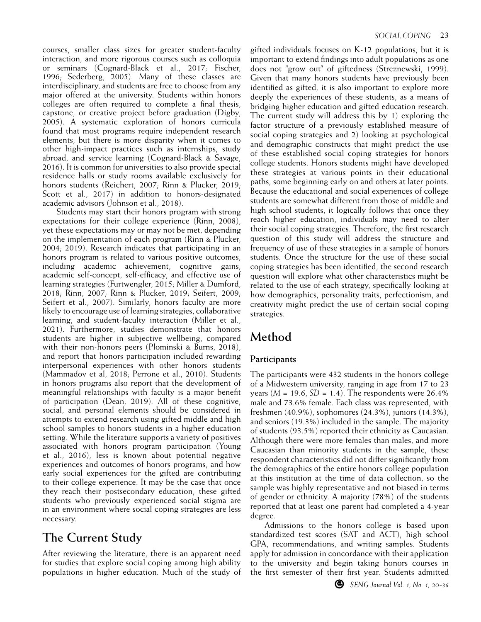courses, smaller class sizes for greater student-faculty interaction, and more rigorous courses such as colloquia or seminars (Cognard-Black et al., 2017; Fischer, 1996; Sederberg, 2005). Many of these classes are interdisciplinary, and students are free to choose from any major offered at the university. Students within honors colleges are often required to complete a final thesis, capstone, or creative project before graduation (Digby, 2005). A systematic exploration of honors curricula found that most programs require independent research elements, but there is more disparity when it comes to other high-impact practices such as internships, study abroad, and service learning (Cognard-Black & Savage, 2016). It is common for universities to also provide special residence halls or study rooms available exclusively for honors students (Reichert, 2007; Rinn & Plucker, 2019; Scott et al., 2017) in addition to honors-designated academic advisors (Johnson et al., 2018).

Students may start their honors program with strong expectations for their college experience (Rinn, 2008), yet these expectations may or may not be met, depending on the implementation of each program (Rinn & Plucker, 2004; 2019). Research indicates that participating in an honors program is related to various positive outcomes, including academic achievement, cognitive gains, academic self-concept, self-efficacy, and effective use of learning strategies (Furtwengler, 2015; Miller & Dumford, 2018; Rinn, 2007; Rinn & Plucker, 2019; Seifert, 2009; Seifert et al., 2007). Similarly, honors faculty are more likely to encourage use of learning strategies, collaborative learning, and student-faculty interaction (Miller et al., 2021). Furthermore, studies demonstrate that honors students are higher in subjective wellbeing, compared with their non-honors peers (Plominski & Burns, 2018), and report that honors participation included rewarding interpersonal experiences with other honors students (Mammadov et al, 2018; Perrone et al., 2010). Students in honors programs also report that the development of meaningful relationships with faculty is a major benefit of participation (Dean, 2019). All of these cognitive, social, and personal elements should be considered in attempts to extend research using gifted middle and high school samples to honors students in a higher education setting. While the literature supports a variety of positives associated with honors program participation (Young et al., 2016), less is known about potential negative experiences and outcomes of honors programs, and how early social experiences for the gifted are contributing to their college experience. It may be the case that once they reach their postsecondary education, these gifted students who previously experienced social stigma are in an environment where social coping strategies are less necessary.

# **The Current Study**

After reviewing the literature, there is an apparent need for studies that explore social coping among high ability populations in higher education. Much of the study of

gifted individuals focuses on K-12 populations, but it is important to extend findings into adult populations as one does not "grow out" of giftedness (Streznewski, 1999). Given that many honors students have previously been identified as gifted, it is also important to explore more deeply the experiences of these students, as a means of bridging higher education and gifted education research. The current study will address this by 1) exploring the factor structure of a previously established measure of social coping strategies and 2) looking at psychological and demographic constructs that might predict the use of these established social coping strategies for honors college students. Honors students might have developed these strategies at various points in their educational paths, some beginning early on and others at later points. Because the educational and social experiences of college students are somewhat different from those of middle and high school students, it logically follows that once they reach higher education, individuals may need to alter their social coping strategies. Therefore, the first research question of this study will address the structure and frequency of use of these strategies in a sample of honors students. Once the structure for the use of these social coping strategies has been identified, the second research question will explore what other characteristics might be related to the use of each strategy, specifically looking at how demographics, personality traits, perfectionism, and creativity might predict the use of certain social coping strategies.

# **Method**

### **Participants**

The participants were 432 students in the honors college of a Midwestern university, ranging in age from 17 to 23 years ( $M = 19.6$ ,  $SD = 1.4$ ). The respondents were 26.4% male and 73.6% female. Each class was represented, with freshmen (40.9%), sophomores (24.3%), juniors (14.3%), and seniors (19.3%) included in the sample. The majority of students (93.5%) reported their ethnicity as Caucasian. Although there were more females than males, and more Caucasian than minority students in the sample, these respondent characteristics did not differ significantly from the demographics of the entire honors college population at this institution at the time of data collection, so the sample was highly representative and not biased in terms of gender or ethnicity. A majority (78%) of the students reported that at least one parent had completed a 4-year degree.

Admissions to the honors college is based upon standardized test scores (SAT and ACT), high school GPA, recommendations, and writing samples. Students apply for admission in concordance with their application to the university and begin taking honors courses in the first semester of their first year. Students admitted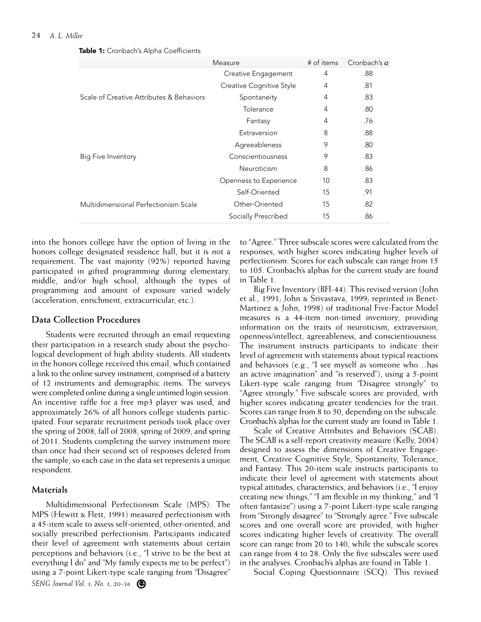|                                          | Measure                  | # of items | Cronbach's $\alpha$ |
|------------------------------------------|--------------------------|------------|---------------------|
|                                          | Creative Engagement      | 4          | .88                 |
|                                          | Creative Cognitive Style | 4          | .81                 |
| Scale of Creative Attributes & Behaviors | Spontaneity              | 4          | .83                 |
|                                          | Tolerance                | 4          | .80                 |
|                                          | Fantasy                  | 4          | .76                 |
|                                          | Extraversion             | 8          | .88                 |
|                                          | Agreeableness            | 9          | .80                 |
| Big Five Inventory                       | Conscientiousness        | 9          | .83                 |
|                                          | Neuroticism              | 8          | .86                 |
|                                          | Openness to Experience   | 10         | .83                 |
|                                          | Self-Oriented            | 15         | .91                 |
| Multidimensional Perfectionism Scale     | Other-Oriented           | 15         | .82                 |
|                                          | Socially Prescribed      | 15         | .86                 |

Table 1: Cronbach's Alpha Coefficients

into the honors college have the option of living in the honors college designated residence hall, but it is not a requirement. The vast majority (92%) reported having participated in gifted programming during elementary, middle, and/or high school, although the types of programming and amount of exposure varied widely (acceleration, enrichment, extracurricular, etc.).

#### **Data Collection Procedures**

Students were recruited through an email requesting their participation in a research study about the psychological development of high ability students. All students in the honors college received this email, which contained a link to the online survey instrument, comprised of a battery of 12 instruments and demographic items. The surveys were completed online during a single untimed login session. An incentive raffle for a free mp3 player was used, and approximately 26% of all honors college students participated. Four separate recruitment periods took place over the spring of 2008, fall of 2008, spring of 2009, and spring of 2011. Students completing the survey instrument more than once had their second set of responses deleted from the sample, so each case in the data set represents a unique respondent.

#### **Materials**

*SENG Journal Vol. 1, No. 1, 20-36* Multidimensional Perfectionism Scale (MPS). The MPS (Hewitt & Flett, 1991) measured perfectionism with a 45-item scale to assess self-oriented, other-oriented, and socially prescribed perfectionism. Participants indicated their level of agreement with statements about certain perceptions and behaviors (i.e., "I strive to be the best at everything I do" and "My family expects me to be perfect") using a 7-point Likert-type scale ranging from "Disagree"

to "Agree." Three subscale scores were calculated from the responses, with higher scores indicating higher levels of perfectionism. Scores for each subscale can range from 15 to 105. Cronbach's alphas for the current study are found in Table 1.

Big Five Inventory (BFI-44). This revised version (John et al., 1991; John & Srivastava, 1999; reprinted in Benet-Martinez & John, 1998) of traditional Five-Factor Model measures is a 44-item non-timed inventory, providing information on the traits of neuroticism, extraversion, openness/intellect, agreeableness, and conscientiousness. The instrument instructs participants to indicate their level of agreement with statements about typical reactions and behaviors (e.g., "I see myself as someone who…has an active imagination" and "is reserved"), using a 5-point Likert-type scale ranging from "Disagree strongly" to "Agree strongly." Five subscale scores are provided, with higher scores indicating greater tendencies for the trait. Scores can range from 8 to 50, depending on the subscale. Cronbach's alphas for the current study are found in Table 1.

Scale of Creative Attributes and Behaviors (SCAB). The SCAB is a self-report creativity measure (Kelly, 2004) designed to assess the dimensions of Creative Engagement, Creative Cognitive Style, Spontaneity, Tolerance, and Fantasy. This 20-item scale instructs participants to indicate their level of agreement with statements about typical attitudes, characteristics, and behaviors (i.e., "I enjoy creating new things," "I am flexible in my thinking," and "I often fantasize") using a 7-point Likert-type scale ranging from "Strongly disagree" to "Strongly agree." Five subscale scores and one overall score are provided, with higher scores indicating higher levels of creativity. The overall score can range from 20 to 140, while the subscale scores can range from 4 to 28. Only the five subscales were used in the analyses. Cronbach's alphas are found in Table 1.

Social Coping Questionnaire (SCQ). This revised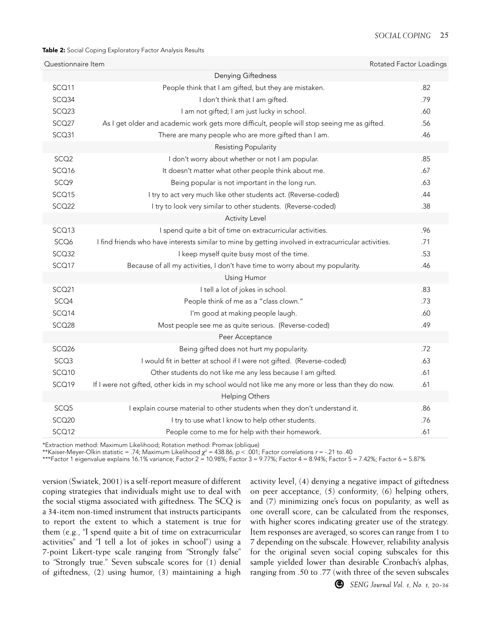#### Table 2: Social Coping Exploratory Factor Analysis Results

| Questionnaire Item |                                                                                                      | Rotated Factor Loadings |
|--------------------|------------------------------------------------------------------------------------------------------|-------------------------|
|                    | Denying Giftedness                                                                                   |                         |
| SCQ11              | People think that I am gifted, but they are mistaken.                                                | .82                     |
| SCQ34              | I don't think that I am gifted.                                                                      | .79                     |
| SCQ23              | I am not gifted; I am just lucky in school.                                                          | .60                     |
| SCQ27              | As I get older and academic work gets more difficult, people will stop seeing me as gifted.          | .56                     |
| SCQ31              | There are many people who are more gifted than I am.                                                 | .46                     |
|                    | Resisting Popularity                                                                                 |                         |
| SCQ <sub>2</sub>   | I don't worry about whether or not I am popular.                                                     | .85                     |
| SCQ16              | It doesn't matter what other people think about me.                                                  | .67                     |
| SCQ9               | Being popular is not important in the long run.                                                      | .63                     |
| SCQ15              | I try to act very much like other students act. (Reverse-coded)                                      | .44                     |
| SCQ22              | I try to look very similar to other students. (Reverse-coded)                                        | .38                     |
|                    | <b>Activity Level</b>                                                                                |                         |
| SCQ13              | I spend quite a bit of time on extracurricular activities.                                           | .96                     |
| SCQ6               | I find friends who have interests similar to mine by getting involved in extracurricular activities. | .71                     |
| SCQ32              | I keep myself quite busy most of the time.                                                           | .53                     |
| SCQ17              | Because of all my activities, I don't have time to worry about my popularity.                        | .46                     |
|                    | Using Humor                                                                                          |                         |
| SCQ21              | I tell a lot of jokes in school.                                                                     | .83                     |
| SCQ4               | People think of me as a "class clown."                                                               | .73                     |
| SCQ14              | I'm good at making people laugh.                                                                     | .60                     |
| SCQ28              | Most people see me as quite serious. (Reverse-coded)                                                 | .49                     |
|                    | Peer Acceptance                                                                                      |                         |
| SCQ26              | Being gifted does not hurt my popularity.                                                            | .72                     |
| SCQ3               | I would fit in better at school if I were not gifted. (Reverse-coded)                                | .63                     |
| SCQ10              | Other students do not like me any less because I am gifted.                                          | .61                     |
| SCQ19              | If I were not gifted, other kids in my school would not like me any more or less than they do now.   | .61                     |
|                    | <b>Helping Others</b>                                                                                |                         |
| SCQ <sub>5</sub>   | I explain course material to other students when they don't understand it.                           | .86                     |
| SCQ <sub>20</sub>  | I try to use what I know to help other students.                                                     | .76                     |
| SCQ12              | People come to me for help with their homework.                                                      | .61                     |
|                    |                                                                                                      |                         |

\*Extraction method: Maximum Likelihood; Rotation method: Promax (oblique)

\*\*Kaiser-Meyer-Olkin statistic = .74; Maximum Likelihood *χ*<sup>2</sup> = 438.86, *p* < .001; Factor correlations *r* = -.21 to .40

\*\*\*Factor 1 eigenvalue explains 16.1% variance; Factor 2 = 10.98%; Factor 3 = 9.77%; Factor 4 = 8.94%; Factor 5 = 7.42%; Factor 6 = 5.87%

version (Swiatek, 2001) is a self-report measure of different coping strategies that individuals might use to deal with the social stigma associated with giftedness. The SCQ is a 34-item non-timed instrument that instructs participants to report the extent to which a statement is true for them (e.g., "I spend quite a bit of time on extracurricular activities" and "I tell a lot of jokes in school") using a 7-point Likert-type scale ranging from "Strongly false" to "Strongly true." Seven subscale scores for (1) denial of giftedness, (2) using humor, (3) maintaining a high

activity level, (4) denying a negative impact of giftedness on peer acceptance, (5) conformity, (6) helping others, and (7) minimizing one's focus on popularity, as well as one overall score, can be calculated from the responses, with higher scores indicating greater use of the strategy. Item responses are averaged, so scores can range from 1 to 7 depending on the subscale. However, reliability analysis for the original seven social coping subscales for this sample yielded lower than desirable Cronbach's alphas, ranging from .50 to .77 (with three of the seven subscales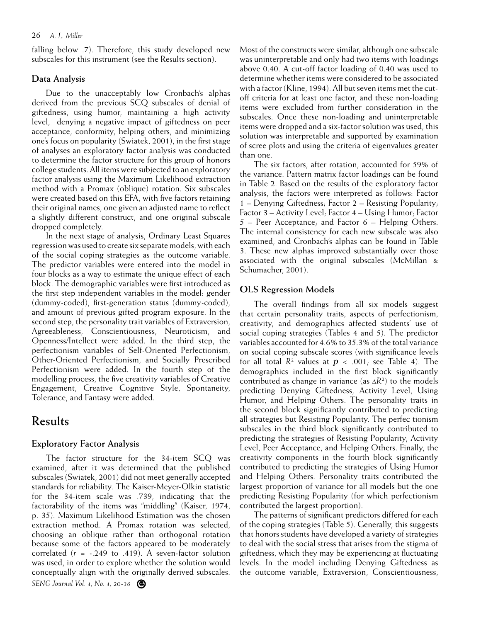falling below .7). Therefore, this study developed new subscales for this instrument (see the Results section).

#### **Data Analysis**

Due to the unacceptably low Cronbach's alphas derived from the previous SCQ subscales of denial of giftedness, using humor, maintaining a high activity level, denying a negative impact of giftedness on peer acceptance, conformity, helping others, and minimizing one's focus on popularity (Swiatek, 2001), in the first stage of analyses an exploratory factor analysis was conducted to determine the factor structure for this group of honors college students. All items were subjected to an exploratory factor analysis using the Maximum Likelihood extraction method with a Promax (oblique) rotation. Six subscales were created based on this EFA, with five factors retaining their original names, one given an adjusted name to reflect a slightly different construct, and one original subscale dropped completely.

In the next stage of analysis, Ordinary Least Squares regression was used to create six separate models, with each of the social coping strategies as the outcome variable. The predictor variables were entered into the model in four blocks as a way to estimate the unique effect of each block. The demographic variables were first introduced as the first step independent variables in the model: gender (dummy-coded), first-generation status (dummy-coded), and amount of previous gifted program exposure. In the second step, the personality trait variables of Extraversion, Agreeableness, Conscientiousness, Neuroticism, and Openness/Intellect were added. In the third step, the perfectionism variables of Self-Oriented Perfectionism, Other-Oriented Perfectionism, and Socially Prescribed Perfectionism were added. In the fourth step of the modelling process, the five creativity variables of Creative Engagement, Creative Cognitive Style, Spontaneity, Tolerance, and Fantasy were added.

# **Results**

### **Exploratory Factor Analysis**

*SENG Journal Vol. 1, No. 1, 20-36* The factor structure for the 34-item SCQ was examined, after it was determined that the published subscales (Swiatek, 2001) did not meet generally accepted standards for reliability. The Kaiser-Meyer-Olkin statistic for the 34-item scale was .739, indicating that the factorability of the items was "middling" (Kaiser, 1974, p. 35). Maximum Likelihood Estimation was the chosen extraction method. A Promax rotation was selected, choosing an oblique rather than orthogonal rotation because some of the factors appeared to be moderately correlated (*r* = -.249 to .419). A seven-factor solution was used, in order to explore whether the solution would conceptually align with the originally derived subscales.

Most of the constructs were similar, although one subscale was uninterpretable and only had two items with loadings above 0.40. A cut-off factor loading of 0.40 was used to determine whether items were considered to be associated with a factor (Kline, 1994). All but seven items met the cutoff criteria for at least one factor, and these non-loading items were excluded from further consideration in the subscales. Once these non-loading and uninterpretable items were dropped and a six-factor solution was used, this solution was interpretable and supported by examination of scree plots and using the criteria of eigenvalues greater than one.

The six factors, after rotation, accounted for 59% of the variance. Pattern matrix factor loadings can be found in Table 2. Based on the results of the exploratory factor analysis, the factors were interpreted as follows: Factor 1 – Denying Giftedness; Factor 2 – Resisting Popularity; Factor 3 – Activity Level; Factor 4 – Using Humor; Factor 5 – Peer Acceptance; and Factor 6 – Helping Others. The internal consistency for each new subscale was also examined, and Cronbach's alphas can be found in Table 3. These new alphas improved substantially over those associated with the original subscales (McMillan & Schumacher, 2001).

### **OLS Regression Models**

The overall findings from all six models suggest that certain personality traits, aspects of perfectionism, creativity, and demographics affected students' use of social coping strategies (Tables 4 and 5). The predictor variables accounted for 4.6% to 35.3% of the total variance on social coping subscale scores (with significance levels for all total  $R^2$  values at  $p < .001$ ; see Table 4). The demographics included in the first block significantly contributed as change in variance (as *ΔR*<sup>2</sup> ) to the models predicting Denying Giftedness, Activity Level, Using Humor, and Helping Others. The personality traits in the second block significantly contributed to predicting all strategies but Resisting Popularity. The perfec tionism subscales in the third block significantly contributed to predicting the strategies of Resisting Popularity, Activity Level, Peer Acceptance, and Helping Others. Finally, the creativity components in the fourth block significantly contributed to predicting the strategies of Using Humor and Helping Others. Personality traits contributed the largest proportion of variance for all models but the one predicting Resisting Popularity (for which perfectionism contributed the largest proportion).

The patterns of significant predictors differed for each of the coping strategies (Table 5). Generally, this suggests that honors students have developed a variety of strategies to deal with the social stress that arises from the stigma of giftedness, which they may be experiencing at fluctuating levels. In the model including Denying Giftedness as the outcome variable, Extraversion, Conscientiousness,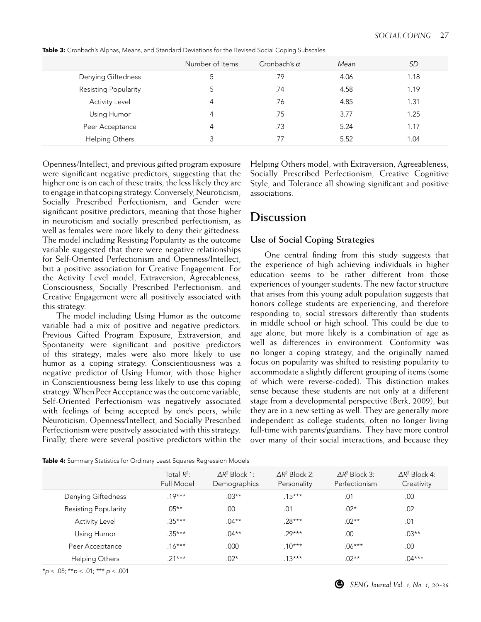|                      | Number of Items | Cronbach's $\alpha$ | Mean | SD   |
|----------------------|-----------------|---------------------|------|------|
| Denying Giftedness   | 5               | .79                 | 4.06 | 1.18 |
| Resisting Popularity |                 | .74                 | 4.58 | 1.19 |
| Activity Level       | 4               | .76                 | 4.85 | 1.31 |
| Using Humor          | 4               | .75                 | 3.77 | 1.25 |
| Peer Acceptance      | 4               | .73                 | 5.24 | 1.17 |
| Helping Others       | 3               | .77                 | 5.52 | 1.04 |

Table 3: Cronbach's Alphas, Means, and Standard Deviations for the Revised Social Coping Subscales

Openness/Intellect, and previous gifted program exposure were significant negative predictors, suggesting that the higher one is on each of these traits, the less likely they are to engage in that coping strategy. Conversely, Neuroticism, Socially Prescribed Perfectionism, and Gender were significant positive predictors, meaning that those higher in neuroticism and socially prescribed perfectionism, as well as females were more likely to deny their giftedness. The model including Resisting Popularity as the outcome variable suggested that there were negative relationships for Self-Oriented Perfectionism and Openness/Intellect, but a positive association for Creative Engagement. For the Activity Level model, Extraversion, Agreeableness, Consciousness, Socially Prescribed Perfectionism, and Creative Engagement were all positively associated with this strategy.

The model including Using Humor as the outcome variable had a mix of positive and negative predictors. Previous Gifted Program Exposure, Extraversion, and Spontaneity were significant and positive predictors of this strategy; males were also more likely to use humor as a coping strategy. Conscientiousness was a negative predictor of Using Humor, with those higher in Conscientiousness being less likely to use this coping strategy. When Peer Acceptance was the outcome variable, Self-Oriented Perfectionism was negatively associated with feelings of being accepted by one's peers, while Neuroticism, Openness/Intellect, and Socially Prescribed Perfectionism were positvely associated with this strategy. Finally, there were several positive predictors within the Helping Others model, with Extraversion, Agreeableness, Socially Prescribed Perfectionism, Creative Cognitive Style, and Tolerance all showing significant and positive associations.

# **Discussion**

### **Use of Social Coping Strategies**

One central finding from this study suggests that the experience of high achieving individuals in higher education seems to be rather different from those experiences of younger students. The new factor structure that arises from this young adult population suggests that honors college students are experiencing, and therefore responding to, social stressors differently than students in middle school or high school. This could be due to age alone, but more likely is a combination of age as well as differences in environment. Conformity was no longer a coping strategy, and the originally named focus on popularity was shifted to resisting popularity to accommodate a slightly different grouping of items (some of which were reverse-coded). This distinction makes sense because these students are not only at a different stage from a developmental perspective (Berk, 2009), but they are in a new setting as well. They are generally more independent as college students, often no longer living full-time with parents/guardians. They have more control over many of their social interactions, and because they

|  | <b>Table 4:</b> Summary Statistics for Ordinary Least Squares Regression Models |  |  |
|--|---------------------------------------------------------------------------------|--|--|
|  |                                                                                 |  |  |

|                       | Total $R^2$ :<br><b>Full Model</b> | $\Delta R^2$ Block 1:<br>Demographics | $\Delta R^2$ Block 2:<br>Personality | $\Delta R^2$ Block 3:<br>Perfectionism | $\Delta R^2$ Block 4:<br>Creativity |
|-----------------------|------------------------------------|---------------------------------------|--------------------------------------|----------------------------------------|-------------------------------------|
| Denying Giftedness    | $19***$                            | $.03***$                              | $.15***$                             | .01                                    | .00                                 |
| Resisting Popularity  | $.05***$                           | .00                                   | .01                                  | $.02*$                                 | .02                                 |
| <b>Activity Level</b> | $.35***$                           | $.04***$                              | $.28***$                             | $.02**$                                | .01                                 |
| Using Humor           | $.35***$                           | $.04***$                              | $79***$                              | .00                                    | $.03***$                            |
| Peer Acceptance       | $.16***$                           | .000                                  | $10***$                              | $.06***$                               | .00                                 |
| Helping Others        | $21***$                            | $.02*$                                | $.13***$                             | $.02**$                                | $.04***$                            |

\**p* < .05; \*\**p* < .01; \*\*\* *p* < .001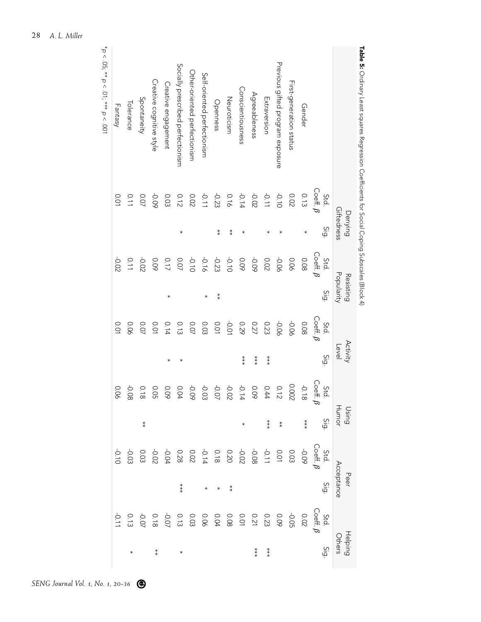| Table 5: Ordinary Least squares Reader for Social Coefficients for Social Coping Subscales (Block 4) |                                  |                       |                                                       |                         |                               |                   |                       |                |         |                    |         |                   |
|------------------------------------------------------------------------------------------------------|----------------------------------|-----------------------|-------------------------------------------------------|-------------------------|-------------------------------|-------------------|-----------------------|----------------|---------|--------------------|---------|-------------------|
|                                                                                                      |                                  | Giftedness<br>Denying |                                                       | Popularity<br>Resisting |                               | Activity<br>Level |                       | Using<br>Humor |         | Acceptance<br>Peer |         | Helping<br>Others |
|                                                                                                      | $\mathsf{Coeff}.\ \beta$<br>Std. | Sig                   | $\text{\small{Co}}\text{\small{eff}}$ $\beta$<br>Std. | Sig                     | $\text{Coeff.} \beta$<br>Std. | Sig               | Coeff. $\beta$<br>Std | G:G            |         | <u>io;</u>         |         | <u>Sig</u>        |
| Gender                                                                                               | 0.13                             | ∗                     | 0.08                                                  |                         | 0.08                          |                   | $-0.18$               | $***$          |         |                    |         |                   |
| First-generation status                                                                              | <b>O.O2</b>                      |                       | 0.06                                                  |                         | 90°C                          |                   | 0.002                 |                |         |                    |         |                   |
| Previous gifted program exposure                                                                     | $-0.10$                          |                       | 90.0                                                  |                         | -0.06                         |                   |                       | $\ddot{*}$     |         |                    |         |                   |
| Extraversion                                                                                         | $110 -$                          |                       | <b>0.02</b>                                           |                         | 0.23                          | $***$             |                       | $***$          |         |                    |         | $***$             |
| Agreeableness                                                                                        | $-0.02$                          |                       | <b>-0.09</b>                                          |                         | 0.27                          | $***$             |                       |                |         |                    |         | $***$             |
| Conscientiousness                                                                                    | $-0.14$                          |                       | 60'0                                                  |                         | 670                           | $***$             |                       |                |         |                    |         |                   |
| Neuroticism                                                                                          | 0.16                             | $^{*}$                | $-0.10$                                               |                         | $-0.01$                       |                   |                       |                |         | $^{*}_{*}$         |         |                   |
| Openness                                                                                             | $-0.23$                          | $**$                  | $-0.23$                                               | $^{*}$                  | <b>D.O1</b>                   |                   |                       |                |         |                    |         |                   |
| Self-oriented perfectionism                                                                          | $-0.11$                          |                       | -0.16                                                 |                         | 0.03                          |                   |                       |                |         |                    |         |                   |
| Other-oriented perfectionism                                                                         | <b>0.02</b>                      |                       | $-0.10$                                               |                         | <b>0.07</b>                   |                   |                       |                |         |                    |         |                   |
| Socially prescribed perfectionism                                                                    | 0.12                             | *                     | <b>ZO.07</b>                                          |                         | 0.13                          |                   | 0.04                  |                |         | $***$              |         |                   |
| Creative engagement                                                                                  | 0.03                             |                       | 0.17                                                  | ∗                       | 0.14                          | $\star$           | 60.0                  |                |         |                    |         |                   |
| Creative cognitive style                                                                             | -0.09                            |                       | 60°0                                                  |                         | <b>0.01</b>                   |                   | <b>O.O5</b>           |                |         |                    |         | $\ast\ast$        |
| Spontaneity                                                                                          | 0.07                             |                       | -0.02                                                 |                         | <b>0.07</b>                   |                   | 0.18                  | $*$            |         |                    |         |                   |
| Tolerance                                                                                            | 0.11                             |                       | 0.11                                                  |                         | 90.0                          |                   | -0.08                 |                | -0.03   |                    |         |                   |
| Fantasy                                                                                              | <b>0.01</b>                      |                       | -0.02                                                 |                         | <b>D.O1</b>                   |                   | 90.0                  |                | $-0.10$ |                    | $-0.11$ |                   |
|                                                                                                      |                                  |                       |                                                       |                         |                               |                   |                       |                |         |                    |         |                   |

\**p* < .05; \*\* *p*

< .01; \*\*\*

*p* < .001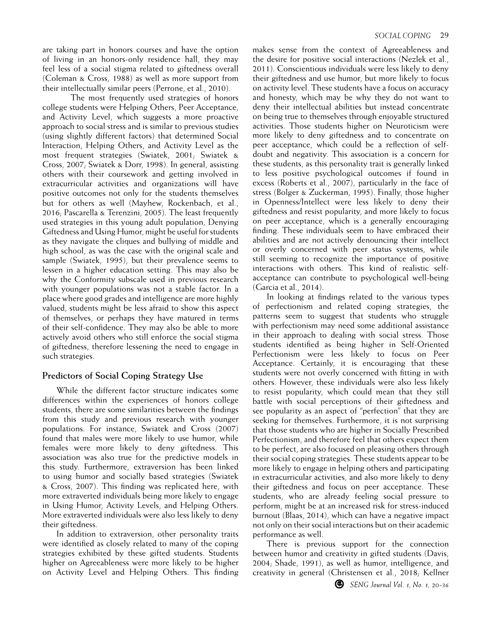are taking part in honors courses and have the option of living in an honors-only residence hall, they may feel less of a social stigma related to giftedness overall (Coleman & Cross, 1988) as well as more support from their intellectually similar peers (Perrone, et al., 2010).

The most frequently used strategies of honors college students were Helping Others, Peer Acceptance, and Activity Level, which suggests a more proactive approach to social stress and is similar to previous studies (using slightly different factors) that determined Social Interaction, Helping Others, and Activity Level as the most frequent strategies (Swiatek, 2001; Swiatek & Cross, 2007; Swiatek & Dorr, 1998). In general, assisting others with their coursework and getting involved in extracurricular activities and organizations will have positive outcomes not only for the students themselves but for others as well (Mayhew, Rockenbach, et al., 2016; Pascarella & Terenzini, 2005). The least frequently used strategies in this young adult population, Denying Giftedness and Using Humor, might be useful for students as they navigate the cliques and bullying of middle and high school, as was the case with the original scale and sample (Swiatek, 1995), but their prevalence seems to lessen in a higher education setting. This may also be why the Conformity subscale used in previous research with younger populations was not a stable factor. In a place where good grades and intelligence are more highly valued, students might be less afraid to show this aspect of themselves, or perhaps they have matured in terms of their self-confidence. They may also be able to more actively avoid others who still enforce the social stigma of giftedness, therefore lessening the need to engage in such strategies.

#### **Predictors of Social Coping Strategy Use**

While the different factor structure indicates some differences within the experiences of honors college students, there are some similarities between the findings from this study and previous research with younger populations. For instance, Swiatek and Cross (2007) found that males were more likely to use humor, while females were more likely to deny giftedness. This association was also true for the predictive models in this study. Furthermore, extraversion has been linked to using humor and socially based strategies (Swiatek & Cross, 2007). This finding was replicated here, with more extraverted individuals being more likely to engage in Using Humor, Activity Levels, and Helping Others. More extraverted individuals were also less likely to deny their giftedness.

In addition to extraversion, other personality traits were identified as closely related to many of the coping strategies exhibited by these gifted students. Students higher on Agreeableness were more likely to be higher on Activity Level and Helping Others. This finding makes sense from the context of Agreeableness and the desire for positive social interactions (Nezlek et al., 2011). Conscientious individuals were less likely to deny their giftedness and use humor, but more likely to focus on activity level. These students have a focus on accuracy and honesty, which may be why they do not want to deny their intellectual abilities but instead concentrate on being true to themselves through enjoyable structured activities. Those students higher on Neuroticism were more likely to deny giftedness and to concentrate on peer acceptance, which could be a reflection of selfdoubt and negativity. This association is a concern for these students, as this personality trait is generally linked to less positive psychological outcomes if found in excess (Roberts et al., 2007), particularly in the face of stress (Bolger & Zuckerman, 1995). Finally, those higher in Openness/Intellect were less likely to deny their giftedness and resist popularity, and more likely to focus on peer acceptance, which is a generally encouraging finding. These individuals seem to have embraced their abilities and are not actively denouncing their intellect or overly concerned with peer status systems, while still seeming to recognize the importance of positive interactions with others. This kind of realistic selfacceptance can contribute to psychological well-being (Garcia et al., 2014).

In looking at findings related to the various types of perfectionism and related coping strategies, the patterns seem to suggest that students who struggle with perfectionism may need some additional assistance in their approach to dealing with social stress. Those students identified as being higher in Self-Oriented Perfectionism were less likely to focus on Peer Acceptance. Certainly, it is encouraging that these students were not overly concerned with fitting in with others. However, these individuals were also less likely to resist popularity, which could mean that they still battle with social perceptions of their giftedness and see popularity as an aspect of "perfection" that they are seeking for themselves. Furthermore, it is not surprising that those students who are higher in Socially Prescribed Perfectionism, and therefore feel that others expect them to be perfect, are also focused on pleasing others through their social coping strategies. These students appear to be more likely to engage in helping others and participating in extracurricular activities, and also more likely to deny their giftedness and focus on peer acceptance. These students, who are already feeling social pressure to perform, might be at an increased risk for stress-induced burnout (Blaas, 2014), which can have a negative impact not only on their social interactions but on their academic performance as well.

There is previous support for the connection between humor and creativity in gifted students (Davis, 2004; Shade, 1991), as well as humor, intelligence, and creativity in general (Christensen et al., 2018; Kellner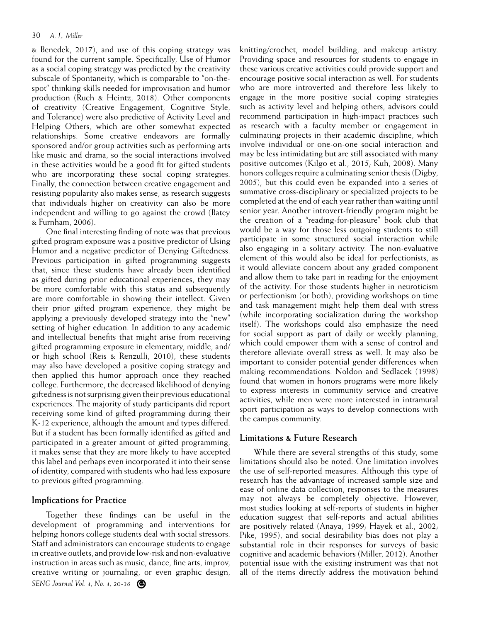& Benedek, 2017), and use of this coping strategy was found for the current sample. Specifically, Use of Humor as a social coping strategy was predicted by the creativity subscale of Spontaneity, which is comparable to "on-thespot" thinking skills needed for improvisation and humor production (Ruch & Heintz, 2018). Other components of creativity (Creative Engagement, Cognitive Style, and Tolerance) were also predictive of Activity Level and Helping Others, which are other somewhat expected relationships. Some creative endeavors are formally sponsored and/or group activities such as performing arts like music and drama, so the social interactions involved in these activities would be a good fit for gifted students who are incorporating these social coping strategies. Finally, the connection between creative engagement and resisting popularity also makes sense, as research suggests that individuals higher on creativity can also be more independent and willing to go against the crowd (Batey & Furnham, 2006).

One final interesting finding of note was that previous gifted program exposure was a positive predictor of Using Humor and a negative predictor of Denying Giftedness. Previous participation in gifted programming suggests that, since these students have already been identified as gifted during prior educational experiences, they may be more comfortable with this status and subsequently are more comfortable in showing their intellect. Given their prior gifted program experience, they might be applying a previously developed strategy into the "new" setting of higher education. In addition to any academic and intellectual benefits that might arise from receiving gifted programming exposure in elementary, middle, and/ or high school (Reis & Renzulli, 2010), these students may also have developed a positive coping strategy and then applied this humor approach once they reached college. Furthermore, the decreased likelihood of denying giftedness is not surprising given their previous educational experiences. The majority of study participants did report receiving some kind of gifted programming during their K-12 experience, although the amount and types differed. But if a student has been formally identified as gifted and participated in a greater amount of gifted programming, it makes sense that they are more likely to have accepted this label and perhaps even incorporated it into their sense of identity, compared with students who had less exposure to previous gifted programming.

#### **Implications for Practice**

*SENG Journal Vol. 1, No. 1, 20-36* Together these findings can be useful in the development of programming and interventions for helping honors college students deal with social stressors. Staff and administrators can encourage students to engage in creative outlets, and provide low-risk and non-evaluative instruction in areas such as music, dance, fine arts, improv, creative writing or journaling, or even graphic design, knitting/crochet, model building, and makeup artistry. Providing space and resources for students to engage in these various creative activities could provide support and encourage positive social interaction as well. For students who are more introverted and therefore less likely to engage in the more positive social coping strategies such as activity level and helping others, advisors could recommend participation in high-impact practices such as research with a faculty member or engagement in culminating projects in their academic discipline, which involve individual or one-on-one social interaction and may be less intimidating but are still associated with many positive outcomes (Kilgo et al., 2015; Kuh, 2008). Many honors colleges require a culminating senior thesis (Digby, 2005), but this could even be expanded into a series of summative cross-disciplinary or specialized projects to be completed at the end of each year rather than waiting until senior year. Another introvert-friendly program might be the creation of a "reading-for-pleasure" book club that would be a way for those less outgoing students to still participate in some structured social interaction while also engaging in a solitary activity. The non-evaluative element of this would also be ideal for perfectionists, as it would alleviate concern about any graded component and allow them to take part in reading for the enjoyment of the activity. For those students higher in neuroticism or perfectionism (or both), providing workshops on time and task management might help them deal with stress (while incorporating socialization during the workshop itself). The workshops could also emphasize the need for social support as part of daily or weekly planning, which could empower them with a sense of control and therefore alleviate overall stress as well. It may also be important to consider potential gender differences when making recommendations. Noldon and Sedlacek (1998) found that women in honors programs were more likely to express interests in community service and creative activities, while men were more interested in intramural sport participation as ways to develop connections with the campus community.

#### **Limitations & Future Research**

While there are several strengths of this study, some limitations should also be noted. One limitation involves the use of self-reported measures. Although this type of research has the advantage of increased sample size and ease of online data collection, responses to the measures may not always be completely objective. However, most studies looking at self-reports of students in higher education suggest that self-reports and actual abilities are positively related (Anaya, 1999; Hayek et al., 2002; Pike, 1995), and social desirability bias does not play a substantial role in their responses for surveys of basic cognitive and academic behaviors (Miller, 2012). Another potential issue with the existing instrument was that not all of the items directly address the motivation behind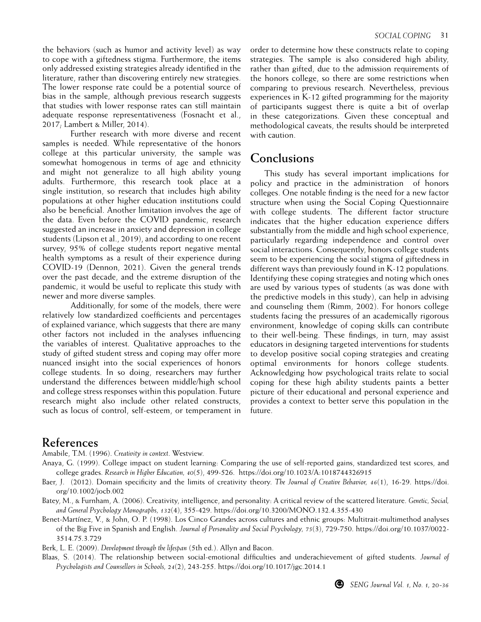the behaviors (such as humor and activity level) as way to cope with a giftedness stigma. Furthermore, the items only addressed existing strategies already identified in the literature, rather than discovering entirely new strategies. The lower response rate could be a potential source of bias in the sample, although previous research suggests that studies with lower response rates can still maintain adequate response representativeness (Fosnacht et al., 2017; Lambert & Miller, 2014).

Further research with more diverse and recent samples is needed. While representative of the honors college at this particular university, the sample was somewhat homogenous in terms of age and ethnicity and might not generalize to all high ability young adults. Furthermore, this research took place at a single institution, so research that includes high ability populations at other higher education institutions could also be beneficial. Another limitation involves the age of the data. Even before the COVID pandemic, research suggested an increase in anxiety and depression in college students (Lipson et al., 2019), and according to one recent survey, 95% of college students report negative mental health symptoms as a result of their experience during COVID-19 (Dennon, 2021). Given the general trends over the past decade, and the extreme disruption of the pandemic, it would be useful to replicate this study with newer and more diverse samples.

Additionally, for some of the models, there were relatively low standardized coefficients and percentages of explained variance, which suggests that there are many other factors not included in the analyses influencing the variables of interest. Qualitative approaches to the study of gifted student stress and coping may offer more nuanced insight into the social experiences of honors college students. In so doing, researchers may further understand the differences between middle/high school and college stress responses within this population. Future research might also include other related constructs, such as locus of control, self-esteem, or temperament in order to determine how these constructs relate to coping strategies. The sample is also considered high ability, rather than gifted, due to the admission requirements of the honors college, so there are some restrictions when comparing to previous research. Nevertheless, previous experiences in K-12 gifted programming for the majority of participants suggest there is quite a bit of overlap in these categorizations. Given these conceptual and methodological caveats, the results should be interpreted with caution.

## **Conclusions**

This study has several important implications for policy and practice in the administration of honors colleges. One notable finding is the need for a new factor structure when using the Social Coping Questionnaire with college students. The different factor structure indicates that the higher education experience differs substantially from the middle and high school experience, particularly regarding independence and control over social interactions. Consequently, honors college students seem to be experiencing the social stigma of giftedness in different ways than previously found in K-12 populations. Identifying these coping strategies and noting which ones are used by various types of students (as was done with the predictive models in this study), can help in advising and counseling them (Rimm, 2002). For honors college students facing the pressures of an academically rigorous environment, knowledge of coping skills can contribute to their well-being. These findings, in turn, may assist educators in designing targeted interventions for students to develop positive social coping strategies and creating optimal environments for honors college students. Acknowledging how psychological traits relate to social coping for these high ability students paints a better picture of their educational and personal experience and provides a context to better serve this population in the future.

## **References**

Amabile, T.M. (1996). *Creativity in context*. Westview.

- Anaya, G. (1999). College impact on student learning: Comparing the use of self-reported gains, standardized test scores, and college grades. *Research in Higher Education, 40*(5), 499-526. https://doi.org/10.1023/A:1018744326915
- Baer, J. (2012). Domain specificity and the limits of creativity theory. *The Journal of Creative Behavior, 46*(1), 16-29. https://doi. org/10.1002/jocb.002
- Batey, M., & Furnham, A. (2006). Creativity, intelligence, and personality: A critical review of the scattered literature. *Genetic, Social, and General Psychology Monographs, 132*(4), 355-429. https://doi.org/10.3200/MONO.132.4.355-430
- Benet-Martínez, V., & John, O. P. (1998). Los Cinco Grandes across cultures and ethnic groups: Multitrait-multimethod analyses of the Big Five in Spanish and English. *Journal of Personality and Social Psychology, 75*(3), 729-750. https://doi.org/10.1037/0022- 3514.75.3.729
- Berk, L. E. (2009). *Development through the lifespan* (5th ed.). Allyn and Bacon.
- Blaas, S. (2014). The relationship between social-emotional difficulties and underachievement of gifted students. *Journal of Psychologists and Counsellors in Schools, 24*(2), 243-255. https://doi.org/10.1017/jgc.2014.1

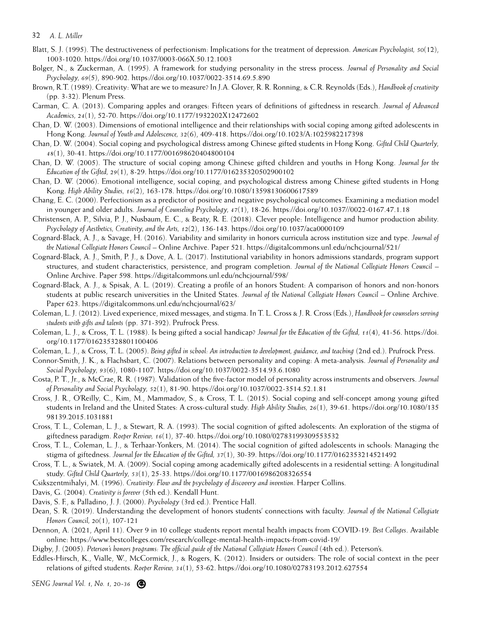- Blatt, S. J. (1995). The destructiveness of perfectionism: Implications for the treatment of depression. *American Psychologist, 50*(12), 1003-1020. https://doi.org/10.1037/0003-066X.50.12.1003
- Bolger, N., & Zuckerman, A. (1995). A framework for studying personality in the stress process. *Journal of Personality and Social Psychology, 69*(5), 890-902. https://doi.org/10.1037/0022-3514.69.5.890
- Brown, R.T. (1989). Creativity: What are we to measure? In J.A. Glover, R. R. Ronning, & C.R. Reynolds (Eds.), *Handbook of creativity* (pp. 3-32). Plenum Press.
- Carman, C. A. (2013). Comparing apples and oranges: Fifteen years of definitions of giftedness in research. *Journal of Advanced Academics, 24*(1), 52-70. https://doi.org/10.1177/1932202X12472602
- Chan, D. W. (2003). Dimensions of emotional intelligence and their relationships with social coping among gifted adolescents in Hong Kong. *Journal of Youth and Adolescence, 32*(6), 409-418. https://doi.org/10.1023/A:1025982217398
- Chan, D. W. (2004). Social coping and psychological distress among Chinese gifted students in Hong Kong. *Gifted Child Quarterly, 48*(1), 30-41. https://doi.org/10.1177/001698620404800104
- Chan, D. W. (2005). The structure of social coping among Chinese gifted children and youths in Hong Kong. *Journal for the Education of the Gifted, 29*(1), 8-29. https://doi.org/10.1177/016235320502900102
- Chan, D. W. (2006). Emotional intelligence, social coping, and psychological distress among Chinese gifted students in Hong Kong. *High Ability Studies, 16*(2), 163-178. https://doi.org/10.1080/13598130600617589
- Chang, E. C. (2000). Perfectionism as a predictor of positive and negative psychological outcomes: Examining a mediation model in younger and older adults. *Journal of Counseling Psychology, 47*(1), 18-26. https://doi.org/10.1037//0022-0167.47.1.18
- Christensen, A. P., Silvia, P. J., Nusbaum, E. C., & Beaty, R. E. (2018). Clever people: Intelligence and humor production ability. *Psychology of Aesthetics, Creativity, and the Arts, 12*(2), 136-143. https://doi.org/10.1037/aca0000109
- Cognard-Black, A. J., & Savage, H. (2016). Variability and similarity in honors curricula across institution size and type. *Journal of the National Collegiate Honors Council* – Online Archive. Paper 521. https://digitalcommons.unl.edu/nchcjournal/521/
- Cognard-Black, A. J., Smith, P. J., & Dove, A. L. (2017). Institutional variability in honors admissions standards, program support structures, and student characteristics, persistence, and program completion. *Journal of the National Collegiate Honors Council* – Online Archive. Paper 598. https://digitalcommons.unl.edu/nchcjournal/598/
- Cognard-Black, A. J., & Spisak, A. L. (2019). Creating a profile of an honors Student: A comparison of honors and non-honors students at public research universities in the United States. *Journal of the National Collegiate Honors Council* – Online Archive. Paper 623. https://digitalcommons.unl.edu/nchcjournal/623/
- Coleman, L. J. (2012). Lived experience, mixed messages, and stigma. In T. L. Cross & J. R. Cross (Eds.), *Handbook for counselors serving students with gifts and talents* (pp. 371-392). Prufrock Press.
- Coleman, L. J., & Cross, T. L. (1988). Is being gifted a social handicap? *Journal for the Education of the Gifted, 11*(4), 41-56. https://doi. org/10.1177/016235328801100406
- Coleman, L. J., & Cross, T. L. (2005). *Being gifted in school: An introduction to development, guidance, and teaching* (2nd ed.). Prufrock Press.
- Connor-Smith, J. K., & Flachsbart, C. (2007). Relations between personality and coping: A meta-analysis. *Journal of Personality and Social Psychology, 93*(6), 1080-1107. https://doi.org/10.1037/0022-3514.93.6.1080
- Costa, P. T., Jr., & McCrae, R. R. (1987). Validation of the five-factor model of personality across instruments and observers. *Journal of Personality and Social Psychology, 52*(1), 81-90. https://doi.org/10.1037/0022-3514.52.1.81
- Cross, J. R., O'Reilly, C., Kim, M., Mammadov, S., & Cross, T. L. (2015). Social coping and self-concept among young gifted students in Ireland and the United States: A cross-cultural study. *High Ability Studies, 26*(1), 39-61. https://doi.org/10.1080/135 98139.2015.1031881
- Cross, T. L., Coleman, L. J., & Stewart, R. A. (1993). The social cognition of gifted adolescents: An exploration of the stigma of giftedness paradigm. *Roeper Review, 16*(1), 37-40. https://doi.org/10.1080/02783199309553532
- Cross, T. L., Coleman, L. J., & Terhaar-Yonkers, M. (2014). The social cognition of gifted adolescents in schools: Managing the stigma of giftedness. *Journal for the Education of the Gifted, 37*(1), 30-39. https://doi.org/10.1177/0162353214521492
- Cross, T. L., & Swiatek, M. A. (2009). Social coping among academically gifted adolescents in a residential setting: A longitudinal study. *Gifted Child Quarterly, 53*(1), 25-33. https://doi.org/10.1177/0016986208326554
- Csikszentmihalyi, M. (1996). *Creativity: Flow and the psychology of discovery and invention.* Harper Collins.
- Davis, G. (2004). *Creativity is forever* (5th ed.). Kendall Hunt.
- Davis, S. F., & Palladino, J. J. (2000). *Psychology* (3rd ed.). Prentice Hall.
- Dean, S. R. (2019). Understanding the development of honors students' connections with faculty. *Journal of the National Collegiate Honors Council, 20*(1), 107-121
- Dennon, A. (2021, April 11). Over 9 in 10 college students report mental health impacts from COVID-19. *Best Colleges*. Available online: https://www.bestcolleges.com/research/college-mental-health-impacts-from-covid-19/
- Digby, J. (2005). Peterson's honors programs: The official guide of the National Collegiate Honors Council (4th ed.). Peterson's.
- Eddles-Hirsch, K., Vialle, W., McCormick, J., & Rogers, K. (2012). Insiders or outsiders: The role of social context in the peer relations of gifted students. *Roeper Review, 34*(1), 53-62. https://doi.org/10.1080/02783193.2012.627554

*SENG Journal Vol. 1, No. 1, 20-36*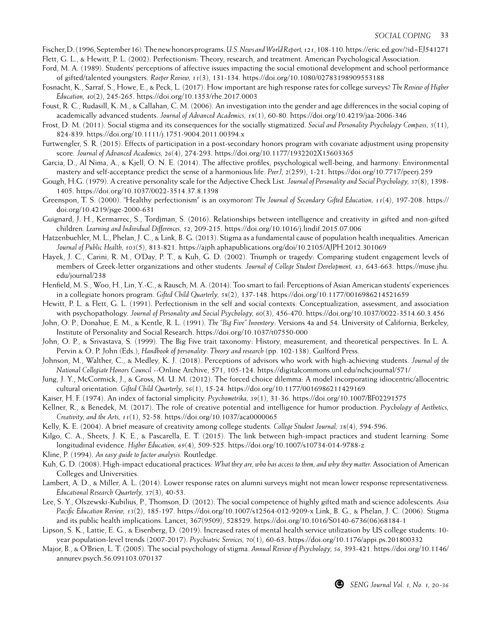Fischer, D. (1996, September 16). The new honors programs. *U.S. News and World Report, 121*, 108-110. https://eric.ed.gov/?id=EJ541271 Flett, G. L., & Hewitt, P. L. (2002). Perfectionism: Theory, research, and treatment. American Psychological Association.

- Ford, M. A. (1989). Students' perceptions of affective issues impacting the social emotional development and school performance of gifted/talented youngsters. *Roeper Review, 11*(3), 131-134. https://doi.org/10.1080/02783198909553188
- Fosnacht, K., Sarraf, S., Howe, E., & Peck, L. (2017). How important are high response rates for college surveys? *The Review of Higher Education, 40*(2), 245-265. https://doi.org/10.1353/rhe.2017.0003
- Foust, R. C., Rudasill, K. M., & Callahan, C. M. (2006). An investigation into the gender and age differences in the social coping of academically advanced students. *Journal of Advanced Academics, 18*(1), 60-80. https://doi.org/10.4219/jaa-2006-346
- Frost, D. M. (2011). Social stigma and its consequences for the socially stigmatized. *Social and Personality Psychology Compass, 5*(11), 824-839. https://doi.org/10.1111/j.1751-9004.2011.00394.x
- Furtwengler, S. R. (2015). Effects of participation in a post-secondary honors program with covariate adjustment using propensity score. *Journal of Advanced Academics, 26*(4), 274-293. https://doi.org/10.1177/1932202X15603365
- Garcia, D., Al Nima, A., & Kjell, O. N. E. (2014). The affective profiles, psychological well-being, and harmony: Environmental mastery and self-acceptance predict the sense of a harmonious life. *PeerJ, 2*(259), 1-21. https://doi.org/10.7717/peerj.259
- Gough, H.G. (1979). A creative personality scale for the Adjective Check List. *Journal of Personality and Social Psychology, 37*(8), 1398- 1405. https://doi.org/10.1037/0022-3514.37.8.1398
- Greenspon, T. S. (2000). "Healthy perfectionism" is an oxymoron! *The Journal of Secondary Gifted Education, 11*(4), 197-208. https:// doi.org/10.4219/jsge-2000-631
- Guignard, J. H., Kermarrec, S., Tordjman, S. (2016). Relationships between intelligence and creativity in gifted and non-gifted children. *Learning and Individual Differences, 52*, 209-215. https://doi.org/10.1016/j.lindif.2015.07.006
- Hatzenbuehler, M. L., Phelan, J. C., & Link, B. G. (2013). Stigma as a fundamental cause of population health inequalities. American *Journal of Public Health, 103*(5), 813-821. https://ajph.aphapublications.org/doi/10.2105/AJPH.2012.301069
- Hayek, J. C., Carini, R. M., O'Day, P. T., & Kuh, G. D. (2002). Triumph or tragedy: Comparing student engagement levels of members of Greek-letter organizations and other students. *Journal of College Student Development, 43*, 643-663. https://muse.jhu. edu/journal/238
- Henfield, M. S., Woo, H., Lin, Y.-C., & Rausch, M. A. (2014). Too smart to fail: Perceptions of Asian American students' experiences in a collegiate honors program. *Gifted Child Quarterly, 58*(2), 137-148. https://doi.org/10.1177/0016986214521659
- Hewitt, P. L. & Flett, G. L. (1991). Perfectionism in the self and social contexts: Conceptualization, assessment, and association with psychopathology. *Journal of Personality and Social Psychology, 60*(3), 456-470. https://doi.org/10.1037/0022-3514.60.3.456
- John, O. P., Donahue, E. M., & Kentle, R. L. (1991). *The "Big Five" Inventory*: Versions 4a and 54. University of California, Berkeley, Institute of Personality and Social Research. https://doi.org/10.1037/t07550-000
- John, O. P., & Srivastava, S. (1999). The Big Five trait taxonomy: History, measurement, and theoretical perspectives. In L. A. Pervin & O. P. John (Eds.), *Handbook of personality: Theory and research* (pp. 102-138). Guilford Press.
- Johnson, M., Walther, C., & Medley, K. J. (2018). Perceptions of advisors who work with high-achieving students. *Journal of the National Collegiate Honors Council* --Online Archive, 571, 105-124. https://digitalcommons.unl.edu/nchcjournal/571/
- Jung, J. Y., McCormick, J., & Gross, M. U. M. (2012). The forced choice dilemma: A model incorporating idiocentric/allocentric cultural orientation. *Gifted Child Quarterly, 56*(1), 15-24. https://doi.org/10.1177/0016986211429169
- Kaiser, H. F. (1974). An index of factorial simplicity. *Psychometrika, 39*(1), 31-36. https://doi.org/10.1007/BF02291575
- Kellner, R., & Benedek, M. (2017). The role of creative potential and intelligence for humor production. *Psychology of Aesthetics, Creativity, and the Arts, 11*(1), 52-58. https://doi.org/10.1037/aca0000065
- Kelly, K. E. (2004). A brief measure of creativity among college students. *College Student Journal, 38*(4), 594-596.
- Kilgo, C. A., Sheets, J. K. E., & Pascarella, E. T. (2015). The link between high-impact practices and student learning: Some longitudinal evidence. *Higher Education, 69*(4), 509-525. https://doi.org/10.1007/s10734-014-9788-z
- Kline, P. (1994). *An easy guide to factor analysis.* Routledge.
- Kuh, G. D. (2008). High-impact educational practices: *What they are, who has access to them, and why they matter.* Association of American Colleges and Universities.
- Lambert, A. D., & Miller, A. L. (2014). Lower response rates on alumni surveys might not mean lower response representativeness. *Educational Research Quarterly, 37*(3), 40-53.
- Lee, S. Y., Olszewski-Kubilius, P., Thomson, D. (2012). The social competence of highly gifted math and science adolescents. *Asia Pacific Education Review, 13*(2), 185-197. https://doi.org/10.1007/s12564-012-9209-x Link, B. G., & Phelan, J. C. (2006). Stigma and its public health implications. Lancet, 367(9509), 528529. https://doi.org/10.1016/S0140-6736(06)68184-1
- Lipson, S. K., Lattie, E. G., & Eisenberg, D. (2019). Increased rates of mental health service utilization by US college students: 10 year population-level trends (2007-2017). *Psychiatric Services, 70*(1), 60-63. https://doi.org/10.1176/appi.ps.201800332
- Major, B., & O'Brien, L. T. (2005). The social psychology of stigma. *Annual Review of Psychology, 56*, 393-421. https://doi.org/10.1146/ annurev.psych.56.091103.070137

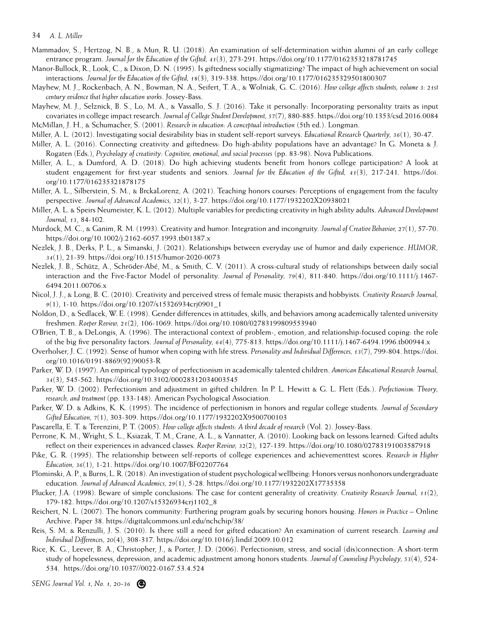- Mammadov, S., Hertzog, N. B., & Mun, R. U. (2018). An examination of self-determination within alumni of an early college entrance program. *Journal for the Education of the Gifted, 41*(3), 273-291. https://doi.org/10.1177/0162353218781745
- Manor-Bullock, R., Look, C., & Dixon, D. N. (1995). Is giftedness socially stigmatizing? The impact of high achievement on social interactions. *Journal for the Education of the Gifted, 18*(3), 319-338. https://doi.org/10.1177/016235329501800307
- Mayhew, M. J., Rockenbach, A. N., Bowman, N. A., Seifert, T. A., & Wolniak, G. C. (2016). *How college affects students, volume 3: 21st century evidence that higher education works.* Jossey-Bass.
- Mayhew, M. J., Selznick, B. S., Lo, M. A., & Vassallo, S. J. (2016). Take it personally: Incorporating personality traits as input covariates in college impact research. *Journal of College Student Development, 57*(7), 880-885. https://doi.org/10.1353/csd.2016.0084 McMillan, J. H., & Schumacher, S. (2001). *Research in education: A conceptual introduction* (5th ed.). Longman.
- Miller, A. L. (2012). Investigating social desirability bias in student self-report surveys. *Educational Research Quarterly, 36*(1), 30-47.
- Miller, A. L. (2016). Connecting creativity and giftedness: Do high-ability populations have an advantage? In G. Moneta & J. Rogaten (Eds.), *Psychology of creativity: Cognitive, emotional, and social processes* (pp. 83-98). Nova Publications.
- Miller, A. L., & Dumford, A. D. (2018). Do high achieving students benefit from honors college participation? A look at student engagement for first-year students and seniors. *Journal for the Education of the Gifted, 41*(3), 217-241. https://doi. org/10.1177/016235321878175
- Miller, A. L., Silberstein, S. M., & BrckaLorenz, A. (2021). Teaching honors courses: Perceptions of engagement from the faculty perspective. *Journal of Advanced Academics, 32*(1), 3-27. https://doi.org/10.1177/1932202X20938021
- Miller, A. L. & Speirs Neumeister, K. L. (2012). Multiple variables for predicting creativity in high ability adults. *Advanced Development Journal, 13*, 84-102.
- Murdock, M. C., & Ganim, R. M. (1993). Creativity and humor: Integration and incongruity. *Journal of Creative Behavior, 27*(1), 57-70. https://doi.org/10.1002/j.2162-6057.1993.tb01387.x
- Nezlek, J. B., Derks, P. L., & Simanski, J. (2021). Relationships between everyday use of humor and daily experience. *HUMOR, 34*(1), 21-39. https://doi.org/10.1515/humor-2020-0073
- Nezlek, J. B., Schütz, A., Schröder-Abé, M., & Smith, C. V. (2011). A cross-cultural study of relationships between daily social interaction and the Five-Factor Model of personality. *Journal of Personality, 79*(4), 811-840. https://doi.org/10.1111/j.1467- 6494.2011.00706.x
- Nicol, J. J., & Long, B. C. (2010). Creativity and perceived stress of female music therapists and hobbyists. *Creativity Research Journal, 9*(1), 1-10. https://doi.org/10.1207/s15326934crj0901\_1
- Noldon, D., & Sedlacek, W. E. (1998). Gender differences in attitudes, skills, and behaviors among academically talented university freshmen. *Roeper Review, 21*(2), 106-1069. https://doi.org/10.1080/02783199809553940
- O'Brien, T. B., & DeLongis, A. (1996). The interactional context of problem-, emotion, and relationship-focused coping: the role of the big five personality factors. *Journal of Personality, 64*(4), 775-813. https://doi.org/10.1111/j.1467-6494.1996.tb00944.x
- Overholser, J. C. (1992). Sense of humor when coping with life stress. *Personality and Individual Differences, 13*(7), 799-804. https://doi. org/10.1016/0191-8869(92)90053-R
- Parker, W. D. (1997). An empirical typology of perfectionism in academically talented children. *American Educational Research Journal, 34*(3), 545-562. https://doi.org/10.3102/00028312034003545
- Parker, W. D. (2002). Perfectionism and adjustment in gifted children. In P. L. Hewitt & G. L. Flett (Eds.). *Perfectionism: Theory, research, and treatment* (pp. 133-148). American Psychological Association.
- Parker, W. D. & Adkins, K. K. (1995). The incidence of perfectionism in honors and regular college students. *Journal of Secondary Gifted Education, 7*(1), 303-309. https://doi.org/10.1177/1932202X9500700103
- Pascarella, E. T. & Terenzini, P. T. (2005). *How college affects students: A third decade of research* (Vol. 2). Jossey-Bass.
- Perrone, K. M., Wright, S. L., Ksiazak, T. M., Crane, A. L., & Vannatter, A. (2010). Looking back on lessons learned: Gifted adults reflect on their experiences in advanced classes. *Roeper Review, 32*(2), 127-139. https://doi.org/10.1080/02783191003587918
- Pike, G. R. (1995). The relationship between self-reports of college experiences and achievementtest scores. *Research in Higher Education, 36*(1), 1-21. https://doi.org/10.1007/BF02207764
- Plominski, A. P., & Burns, L. R. (2018). An investigation of student psychological wellbeing: Honors versus nonhonors undergraduate education. *Journal of Advanced Academics, 29*(1), 5-28. https://doi.org/10.1177/1932202X17735358
- Plucker, J.A. (1998). Beware of simple conclusions: The case for content generality of creativity. *Creativity Research Journal, 11*(2), 179-182. https://doi.org/10.1207/s15326934crj1102\_8
- Reichert, N. L. (2007). The honors community: Furthering program goals by securing honors housing. *Honors in Practice*  Online Archive. Paper 38. https://digitalcommons.unl.edu/nchchip/38/
- Reis, S. M. & Renzulli, J. S. (2010). Is there still a need for gifted education? An examination of current research. *Learning and Individual Differences, 20*(4), 308-317. https://doi.org/10.1016/j.lindif.2009.10.012
- Rice, K. G., Leever, B. A., Christopher, J., & Porter, J. D. (2006). Perfectionism, stress, and social (dis)connection: A short-term study of hopelessness, depression, and academic adjustment among honors students. *Journal of Counseling Psychology, 53*(4), 524- 534. https://doi.org/10.1037//0022-0167.53.4.524

*SENG Journal Vol. 1, No. 1, 20-36*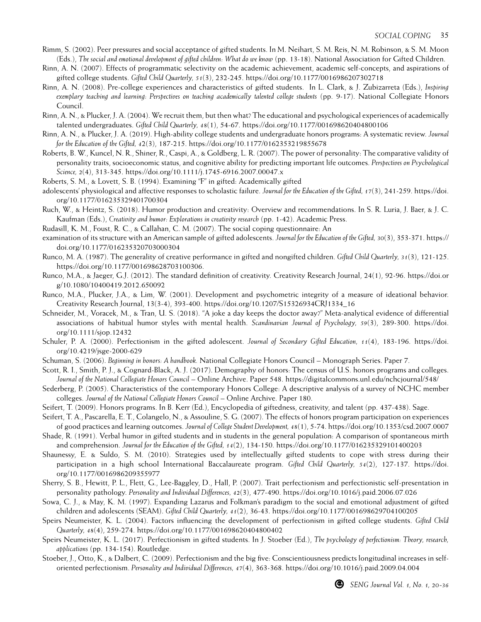- Rimm, S. (2002). Peer pressures and social acceptance of gifted students. In M. Neihart, S. M. Reis, N. M. Robinson, & S. M. Moon (Eds.), *The social and emotional development of gifted children: What do we know* (pp. 13-18). National Association for Gifted Children.
- Rinn, A. N. (2007). Effects of programmatic selectivity on the academic achievement, academic self-concepts, and aspirations of gifted college students. *Gifted Child Quarterly, 51*(3), 232-245. https://doi.org/10.1177/0016986207302718
- Rinn, A. N. (2008). Pre-college experiences and characteristics of gifted students. In L. Clark, & J. Zubizarreta (Eds.), *Inspiring exemplary teaching and learning: Perspectives on teaching academically talented college students* (pp. 9-17). National Collegiate Honors Council.
- Rinn, A. N., & Plucker, J. A. (2004). We recruit them, but then what? The educational and psychological experiences of academically talented undergraduates. *Gifted Child Quarterly, 48*(1), 54-67. https://doi.org/10.1177/001698620404800106
- Rinn, A. N., & Plucker, J. A. (2019). High-ability college students and undergraduate honors programs: A systematic review. *Journal for the Education of the Gifted, 4*2(3), 187-215. https://doi.org/10.1177/0162353219855678
- Roberts, B. W., Kuncel, N. R., Shiner, R., Caspi, A., & Goldberg, L. R. (2007). The power of personality: The comparative validity of personality traits, socioeconomic status, and cognitive ability for predicting important life outcomes. *Perspectives on Psychological Science, 2*(4), 313-345. https://doi.org/10.1111/j.1745-6916.2007.00047.x
- Roberts, S. M., & Lovett, S. B. (1994). Examining "F" in gifted: Academically gifted
- adolescents' physiological and affective responses to scholastic failure. *Journal for the Education of the Gifted, 17*(3), 241-259. https://doi. org/10.1177/016235329401700304
- Ruch, W., & Heintz, S. (2018). Humor production and creativity: Overview and recommendations. In S. R. Luria, J. Baer, & J. C. Kaufman (Eds.), *Creativity and humor: Explorations in creativity research* (pp. 1-42). Academic Press.
- Rudasill, K. M., Foust, R. C., & Callahan, C. M. (2007). The social coping questionnaire: An
- examination of its structure with an American sample of gifted adolescents. *Journal for the Education of the Gifted, 30*(3), 353-371. https:// doi.org/10.1177/016235320703000304
- Runco, M. A. (1987). The generality of creative performance in gifted and nongifted children. *Gifted Child Quarterly, 31*(3), 121-125. https://doi.org/10.1177/001698628703100306.
- Runco, M.A., & Jaeger, G.J. (2012). The standard definition of creativity. Creativity Research Journal, 24(1), 92-96. https://doi.or g/10.1080/10400419.2012.650092
- Runco, M.A., Plucker, J.A., & Lim, W. (2001). Development and psychometric integrity of a measure of ideational behavior. Creativity Research Journal, 13(3-4), 393-400. https://doi.org/10.1207/S15326934CRJ1334\_16
- Schneider, M., Voracek, M., & Tran, U. S. (2018). "A joke a day keeps the doctor away?" Meta-analytical evidence of differential associations of habitual humor styles with mental health. *Scandinavian Journal of Psychology, 59*(3), 289-300. https://doi. org/10.1111/sjop.12432
- Schuler, P. A. (2000). Perfectionism in the gifted adolescent. *Journal of Secondary Gifted Education, 11*(4), 183-196. https://doi. org/10.4219/jsge-2000-629
- Schuman, S. (2006). *Beginning in honors: A handbook.* National Collegiate Honors Council Monograph Series. Paper 7.
- Scott, R. I., Smith, P. J., & Cognard-Black, A. J. (2017). Demography of honors: The census of U.S. honors programs and colleges. *Journal of the National Collegiate Honors Council* – Online Archive. Paper 548. https://digitalcommons.unl.edu/nchcjournal/548/
- Sederberg, P. (2005). Characteristics of the contemporary Honors College: A descriptive analysis of a survey of NCHC member colleges. *Journal of the National Collegiate Honors Council* – Online Archive. Paper 180.
- Seifert, T. (2009). Honors programs. In B. Kerr (Ed.), Encyclopedia of giftedness, creativity, and talent (pp. 437-438). Sage.
- Seifert, T. A., Pascarella, E. T., Colangelo, N., & Assouline, S. G. (2007). The effects of honors program participation on experiences of good practices and learning outcomes. *Journal of College Student Development, 48*(1), 5-74. https://doi.org/10.1353/csd.2007.0007
- Shade, R. (1991). Verbal humor in gifted students and in students in the general population: A comparison of spontaneous mirth and comprehension. *Journal for the Education of the Gifted, 14*(2), 134-150. https://doi.org/10.1177/016235329101400203
- Shaunessy, E. & Suldo, S. M. (2010). Strategies used by intellectually gifted students to cope with stress during their participation in a high school International Baccalaureate program. *Gifted Child Quarterly, 54*(2), 127-137. https://doi. org/10.1177/0016986209355977
- Sherry, S. B., Hewitt, P. L., Flett, G., Lee-Baggley, D., Hall, P. (2007). Trait perfectionism and perfectionistic self-presentation in personality pathology. *Personality and Individual Differences, 42*(3), 477-490. https://doi.org/10.1016/j.paid.2006.07.026
- Sowa, C. J., & May, K. M. (1997). Expanding Lazarus and Folkman's paradigm to the social and emotional adjustment of gifted children and adolescents (SEAM). *Gifted Child Quarterly, 41*(2), 36-43. https://doi.org/10.1177/001698629704100205
- Speirs Neumeister, K. L. (2004). Factors influencing the development of perfectionism in gifted college students. *Gifted Child Quarterly, 48*(4), 259-274. https://doi.org/10.1177/001698620404800402
- Speirs Neumeister, K. L. (2017). Perfectionism in gifted students. In J. Stoeber (Ed.), *The psychology of perfectionism: Theory, research, applications* (pp. 134-154). Routledge.
- Stoeber, J., Otto, K., & Dalbert, C. (2009). Perfectionism and the big five: Conscientiousness predicts longitudinal increases in selforiented perfectionism. *Personality and Individual Differences, 47*(4), 363-368. https://doi.org/10.1016/j.paid.2009.04.004